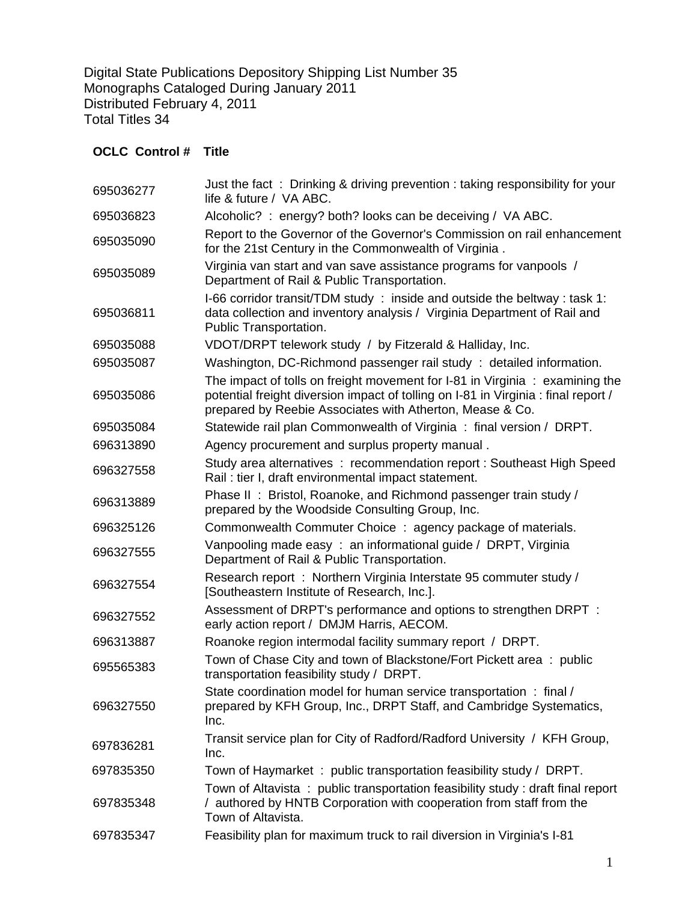Digital State Publications Depository Shipping List Number 35 Monographs Cataloged During January 2011 Distributed February 4, 2011 Total Titles 34

## **OCLC Control # Title**

| 695036277 | Just the fact: Drinking & driving prevention: taking responsibility for your<br>life & future / VA ABC.                                                                                                                             |
|-----------|-------------------------------------------------------------------------------------------------------------------------------------------------------------------------------------------------------------------------------------|
| 695036823 | Alcoholic? : energy? both? looks can be deceiving / VA ABC.                                                                                                                                                                         |
| 695035090 | Report to the Governor of the Governor's Commission on rail enhancement<br>for the 21st Century in the Commonwealth of Virginia.                                                                                                    |
| 695035089 | Virginia van start and van save assistance programs for vanpools /<br>Department of Rail & Public Transportation.                                                                                                                   |
| 695036811 | I-66 corridor transit/TDM study: inside and outside the beltway: task 1:<br>data collection and inventory analysis / Virginia Department of Rail and<br>Public Transportation.                                                      |
| 695035088 | VDOT/DRPT telework study / by Fitzerald & Halliday, Inc.                                                                                                                                                                            |
| 695035087 | Washington, DC-Richmond passenger rail study: detailed information.                                                                                                                                                                 |
| 695035086 | The impact of tolls on freight movement for I-81 in Virginia $\div$ examining the<br>potential freight diversion impact of tolling on I-81 in Virginia : final report /<br>prepared by Reebie Associates with Atherton, Mease & Co. |
| 695035084 | Statewide rail plan Commonwealth of Virginia: final version / DRPT.                                                                                                                                                                 |
| 696313890 | Agency procurement and surplus property manual.                                                                                                                                                                                     |
| 696327558 | Study area alternatives : recommendation report : Southeast High Speed<br>Rail: tier I, draft environmental impact statement.                                                                                                       |
| 696313889 | Phase II: Bristol, Roanoke, and Richmond passenger train study /<br>prepared by the Woodside Consulting Group, Inc.                                                                                                                 |
| 696325126 | Commonwealth Commuter Choice: agency package of materials.                                                                                                                                                                          |
| 696327555 | Vanpooling made easy: an informational guide / DRPT, Virginia<br>Department of Rail & Public Transportation.                                                                                                                        |
| 696327554 | Research report: Northern Virginia Interstate 95 commuter study /<br>[Southeastern Institute of Research, Inc.].                                                                                                                    |
| 696327552 | Assessment of DRPT's performance and options to strengthen DRPT :<br>early action report / DMJM Harris, AECOM.                                                                                                                      |
| 696313887 | Roanoke region intermodal facility summary report / DRPT.                                                                                                                                                                           |
| 695565383 | Town of Chase City and town of Blackstone/Fort Pickett area: public<br>transportation feasibility study / DRPT.                                                                                                                     |
| 696327550 | State coordination model for human service transportation: final /<br>prepared by KFH Group, Inc., DRPT Staff, and Cambridge Systematics,<br>Inc.                                                                                   |
| 697836281 | Transit service plan for City of Radford/Radford University / KFH Group,<br>Inc.                                                                                                                                                    |
| 697835350 | Town of Haymarket: public transportation feasibility study / DRPT.                                                                                                                                                                  |
| 697835348 | Town of Altavista: public transportation feasibility study: draft final report<br>/ authored by HNTB Corporation with cooperation from staff from the<br>Town of Altavista.                                                         |
| 697835347 | Feasibility plan for maximum truck to rail diversion in Virginia's I-81                                                                                                                                                             |
|           |                                                                                                                                                                                                                                     |